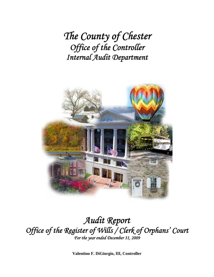*The County of Chester Office of the Controller Internal Audit Department*



### *Audit Report Office of the Register of Wills / Clerk of Orphans' Court For the year ended December 31, 2009*

**Valentino F. DiGiorgio, III, Controller**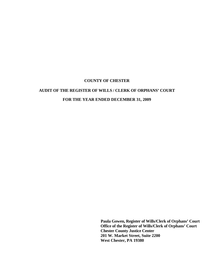### **AUDIT OF THE REGISTER OF WILLS / CLERK OF ORPHANS' COURT FOR THE YEAR ENDED DECEMBER 31, 2009**

**Paula Gowen, Register of Wills/Clerk of Orphans' Court Office of the Register of Wills/Clerk of Orphans' Court Chester County Justice Center 201 W. Market Street, Suite 2200 West Chester, PA 19380**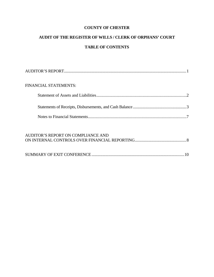### **AUDIT OF THE REGISTER OF WILLS / CLERK OF ORPHANS' COURT TABLE OF CONTENTS**

| <b>FINANCIAL STATEMENTS:</b> |  |
|------------------------------|--|
|                              |  |
|                              |  |
|                              |  |
|                              |  |

| AUDITOR'S REPORT ON COMPLIANCE AND |  |
|------------------------------------|--|
|                                    |  |
|                                    |  |
|                                    |  |
|                                    |  |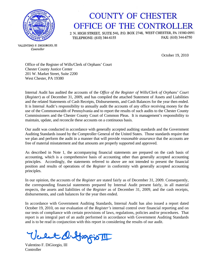

## **COUNTY OF CHESTER** OFFICE OF THE CONTROLLER

2 N. HIGH STREET, SUITE 540, P.O. BOX 2748, WEST CHESTER, PA 19380-0991 FAX: (610) 344-6750 TELEPHONE: (610) 344-6155

VALENTINO F. DIGIORGIO, III Controller

October 19, 2010

Office of the Register of Wills/Clerk of Orphans' Court Chester County Justice Center 201 W. Market Street, Suite 2200 West Chester, PA 19380

Internal Audit has audited the accounts of the *Office of the Register of Wills/Clerk of Orphans' Court* (*Register*) as of December 31, 2009, and has compiled the attached Statement of Assets and Liabilities and the related Statements of Cash Receipts, Disbursements, and Cash Balances for the year then ended. It is Internal Audit's responsibility to annually audit the accounts of any office receiving money for the use of the Commonwealth of Pennsylvania and to report the results of such audits to the Chester County Commissioners and the Chester County Court of Common Pleas. It is management's responsibility to maintain, update, and reconcile these accounts on a continuous basis.

Our audit was conducted in accordance with generally accepted auditing standards and the Government Auditing Standards issued by the Comptroller General of the United States. Those standards require that we plan and perform the audit in a manner that will provide *reasonable assurance* that the accounts are free of material misstatement and that amounts are properly supported and approved.

As described in Note 1, the accompanying financial statements are prepared on the cash basis of accounting, which is a comprehensive basis of accounting other than generally accepted accounting principles. Accordingly, the statements referred to above are not intended to present the financial position and results of operations of the *Register* in conformity with generally accepted accounting principles.

In our opinion, the accounts of the *Register* are stated fairly as of December 31, 2009. Consequently, the corresponding financial statements prepared by Internal Audit present fairly, in all material respects, the assets and liabilities of the *Register* as of December 31, 2009, and the cash receipts, disbursements, and cash balances for the year then ended.

In accordance with Government Auditing Standards, Internal Audit has also issued a report dated October 19, 2010, on our evaluation of the *Register's* internal control over financial reporting and on our tests of compliance with certain provisions of laws, regulations, policies and/or procedures. That report is an integral part of an audit performed in accordance with Government Auditing Standards and is to be read in conjunction with this report in considering the results of our audit.

Vellet Q. Grafio III

**Controller**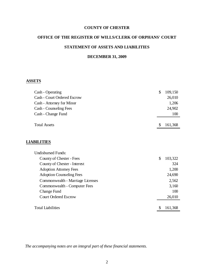#### **OFFICE OF THE REGISTER OF WILLS/CLERK OF ORPHANS' COURT**

#### **STATEMENT OF ASSETS AND LIABILITIES**

#### **DECEMBER 31, 2009**

#### **ASSETS**

| Cash - Operating                   | 109,150 |
|------------------------------------|---------|
| <b>Cash - Court Ordered Escrow</b> | 26,010  |
| Cash - Attorney for Minor          | 1,206   |
| Cash - Counseling Fees             | 24,902  |
| Cash - Change Fund                 | 100     |
|                                    |         |
| <b>Total Assets</b>                | 161,368 |

#### **LIABILITIES**

| <b>Undisbursed Funds:</b>        |     |         |
|----------------------------------|-----|---------|
| County of Chester - Fees         | \$  | 103,322 |
| County of Chester - Interest     |     | 324     |
| <b>Adoption Attorney Fees</b>    |     | 1,200   |
| <b>Adoption Counseling Fees</b>  |     | 24,690  |
| Commonwealth - Marriage Licenses |     | 2,562   |
| Commonwealth - Computer Fees     |     | 3,160   |
| Change Fund                      |     | 100     |
| <b>Court Ordered Escrow</b>      |     | 26,010  |
|                                  |     |         |
| <b>Total Liabilities</b>         | \$. | 161,368 |
|                                  |     |         |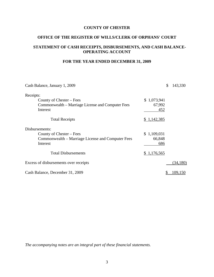#### **OFFICE OF THE REGISTER OF WILLS/CLERK OF ORPHANS' COURT**

#### **STATEMENT OF CASH RECEIPTS, DISBURSEMENTS, AND CASH BALANCE-OPERATING ACCOUNT**

#### **FOR THE YEAR ENDED DECEMBER 31, 2009**

| Cash Balance, January 1, 2009                     | \$          | 143,330  |
|---------------------------------------------------|-------------|----------|
| Receipts:                                         |             |          |
| County of Chester – Fees                          | \$1,073,941 |          |
| Commonwealth – Marriage License and Computer Fees | 67,992      |          |
| Interest                                          | 452         |          |
| <b>Total Receipts</b>                             | \$1,142,385 |          |
| Disbursements:                                    |             |          |
| County of Chester – Fees                          | \$1,109,031 |          |
| Commonwealth – Marriage License and Computer Fees | 66,848      |          |
| Interest                                          | 686         |          |
| <b>Total Disbursements</b>                        | \$1,176,565 |          |
| Excess of disbursements over receipts             |             | (34,180) |
| Cash Balance, December 31, 2009                   |             | 109,150  |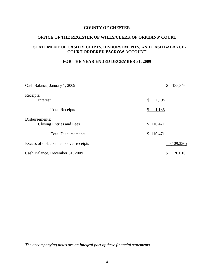#### **OFFICE OF THE REGISTER OF WILLS/CLERK OF ORPHANS' COURT**

#### **STATEMENT OF CASH RECEIPTS, DISBURSEMENTS, AND CASH BALANCE-COURT ORDERED ESCROW ACCOUNT**

#### **FOR THE YEAR ENDED DECEMBER 31, 2009**

| Cash Balance, January 1, 2009              | \$<br>135,346 |
|--------------------------------------------|---------------|
| Receipts:                                  |               |
| Interest                                   | 1,135         |
| <b>Total Receipts</b>                      | 1,135<br>S    |
| Disbursements:<br>Closing Entries and Fees | \$110,471     |
| <b>Total Disbursements</b>                 | \$110,471     |
| Excess of disbursements over receipts      | (109, 336)    |
| Cash Balance, December 31, 2009            | 26,010<br>\$  |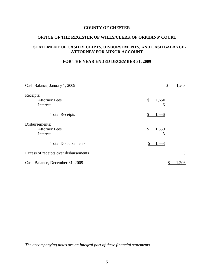#### **OFFICE OF THE REGISTER OF WILLS/CLERK OF ORPHANS' COURT**

#### **STATEMENT OF CASH RECEIPTS, DISBURSEMENTS, AND CASH BALANCE-ATTORNEY FOR MINOR ACCOUNT**

#### **FOR THE YEAR ENDED DECEMBER 31, 2009**

| Cash Balance, January 1, 2009         | \$<br>1,203                        |
|---------------------------------------|------------------------------------|
| Receipts:                             |                                    |
| <b>Attorney Fees</b>                  | $\boldsymbol{\mathsf{S}}$<br>1,650 |
| Interest                              | 6                                  |
| <b>Total Receipts</b>                 | 1,656<br>S                         |
| Disbursements:                        |                                    |
| <b>Attorney Fees</b>                  | \$<br>1,650                        |
| Interest                              |                                    |
| <b>Total Disbursements</b>            | 1,653<br>S                         |
| Excess of receipts over disbursements | 3                                  |
| Cash Balance, December 31, 2009       | 206                                |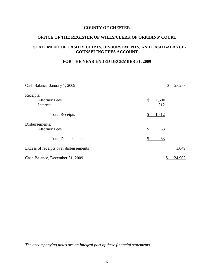#### **OFFICE OF THE REGISTER OF WILLS/CLERK OF ORPHANS' COURT**

#### **STATEMENT OF CASH RECEIPTS, DISBURSEMENTS, AND CASH BALANCE-COUNSELING FEES ACCOUNT**

#### **FOR THE YEAR ENDED DECEMBER 31, 2009**

| Cash Balance, January 1, 2009         | \$<br>23,253    |
|---------------------------------------|-----------------|
| Receipts:                             |                 |
| <b>Attorney Fees</b>                  | \$<br>1,500     |
| Interest                              | 212             |
| <b>Total Receipts</b>                 | 1,712<br>S      |
| Disbursements:                        |                 |
| <b>Attorney Fees</b>                  | \$<br>63        |
| <b>Total Disbursements</b>            | <u>63</u><br>\$ |
| Excess of receipts over disbursements | 1,649           |
| Cash Balance, December 31, 2009       | 24,902<br>\$    |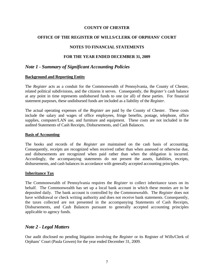#### **OFFICE OF THE REGISTER OF WILLS/CLERK OF ORPHANS' COURT**

#### **NOTES TO FINANCIAL STATEMENTS**

#### **FOR THE YEAR ENDED DECEMBER 31, 2009**

#### *Note 1 - Summary of Significant Accounting Policies*

#### **Background and Reporting Entity**

The *Register* acts as a conduit for the Commonwealth of Pennsylvania, the County of Chester, related political subdivisions, and the citizens it serves. Consequently, the *Register's* cash balance at any point in time represents undisbursed funds to one (or all) of these parties. For financial statement purposes, these undisbursed funds are included as a liability of the *Register.*

The actual operating expenses of the *Register* are paid by the County of Chester. These costs include the salary and wages of office employees, fringe benefits, postage, telephone, office supplies, computer/LAN use, and furniture and equipment. These costs are not included in the audited Statements of Cash Receipts, Disbursements, and Cash Balances.

#### **Basis of Accounting**

The books and records of the *Register* are maintained on the cash basis of accounting. Consequently, receipts are recognized when received rather than when assessed or otherwise due, and disbursements are recognized when paid rather than when the obligation is incurred. Accordingly, the accompanying statements do not present the assets, liabilities, receipts, disbursements, and cash balances in accordance with generally accepted accounting principles.

#### **Inheritance Tax**

The Commonwealth of Pennsylvania requires the *Register* to collect inheritance taxes on its behalf. The Commonwealth has set up a local bank account in which these monies are to be deposited daily. The bank account is controlled by the Commonwealth. The *Register* does not have withdrawal or check writing authority and does not receive bank statements. Consequently, the taxes collected are not presented in the accompanying Statements of Cash Receipts, Disbursements, and Cash Balances pursuant to generally accepted accounting principles applicable to agency funds.

#### *Note 2 - Legal Matters*

Our audit disclosed no pending litigation involving the *Register* or its Register of Wills/Clerk of Orphans' Court (Paula Gowen) for the year ended December 31, 2009.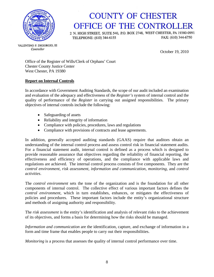

# **COUNTY OF CHESTER** OFFICE OF THE CONTROLLER

2 N. HIGH STREET, SUITE 540, P.O. BOX 2748, WEST CHESTER, PA 19380-0991 FAX: (610) 344-6750 TELEPHONE: (610) 344-6155

VALENTINO F. DIGIORGIO, III

October 19, 2010

Office of the Register of Wills/Clerk of Orphans' Court Chester County Justice Center West Chester, PA 19380

#### **Report on Internal Controls**

In accordance with Government Auditing Standards, the scope of our audit included an examination and evaluation of the adequacy and effectiveness of the *Register's* system of internal control and the quality of performance of the *Register* in carrying out assigned responsibilities. The primary objectives of internal controls include the following:

- Safeguarding of assets
- Reliability and integrity of information
- Compliance with policies, procedures, laws and regulations
- Compliance with provisions of contracts and lease agreements.

In addition, generally accepted auditing standards (GAAS) require that auditors obtain an understanding of the internal control process and assess control risk in financial statement audits. For a financial statement audit, internal control is defined as a process which is designed to provide reasonable assurance that objectives regarding the reliability of financial reporting, the effectiveness and efficiency of operations, and the compliance with applicable laws and regulations are achieved. The internal control process consists of five components. They are the *control environment*, *risk assessment*, *information and communication*, *monitoring*, and *control activities*.

The *control environment* sets the tone of the organization and is the foundation for all other components of internal control. The collective effect of various important factors defines the *control environment*, which in turn establishes, enhances, or mitigates the effectiveness of policies and procedures. These important factors include the entity's organizational structure and methods of assigning authority and responsibility.

The *risk assessment* is the entity's identification and analysis of relevant risks to the achievement of its objectives, and forms a basis for determining how the risks should be managed.

*Information and communication* are the identification, capture, and exchange of information in a form and time frame that enables people to carry out their responsibilities.

*Monitoring* is a process that assesses the quality of internal control performance over time.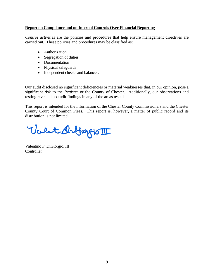#### **Report on Compliance and on Internal Controls Over Financial Reporting**

*Control activities* are the policies and procedures that help ensure management directives are carried out. These policies and procedures may be classified as:

- Authorization
- Segregation of duties
- Documentation
- Physical safeguards
- Independent checks and balances.

Our audit disclosed no significant deficiencies or material weaknesses that, in our opinion, pose a significant risk to the *Register* or the County of Chester. Additionally, our observations and testing revealed no audit findings in any of the areas tested.

This report is intended for the information of the Chester County Commissioners and the Chester County Court of Common Pleas. This report is, however, a matter of public record and its distribution is not limited.

Valet de Grapio III

Valentino F. DiGiorgio, III **Controller**